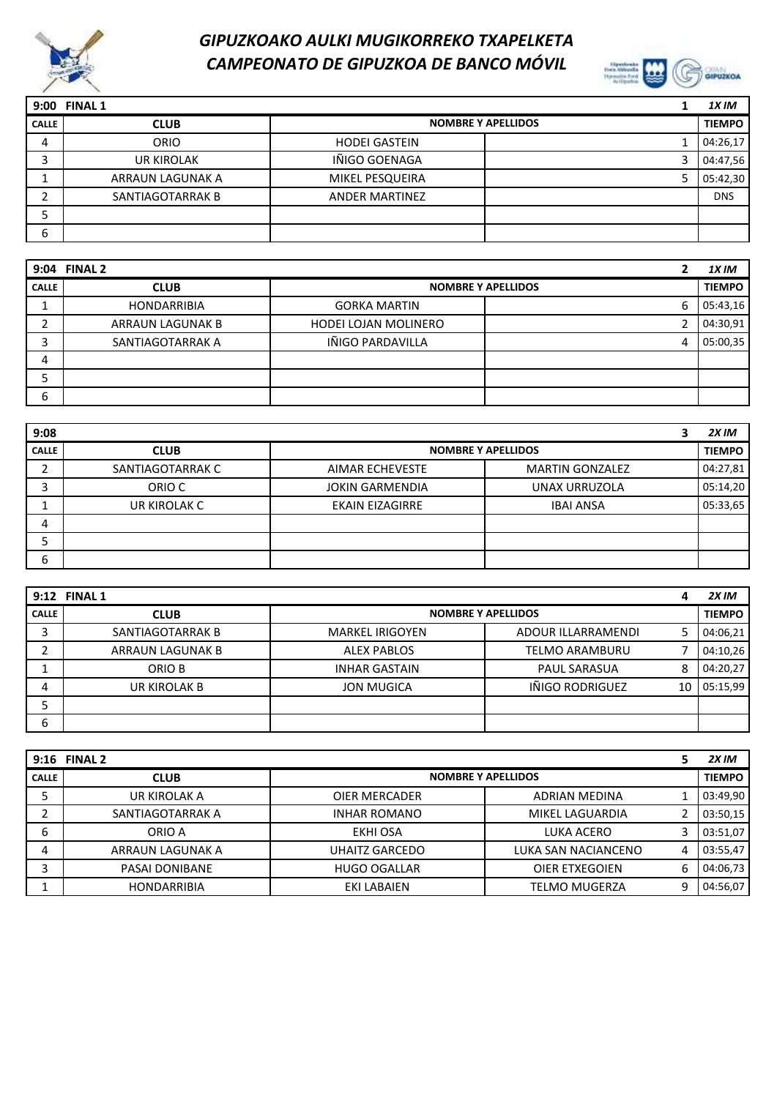



| 9:00         | <b>FINAL 1</b>    |                           | 1X IM         |
|--------------|-------------------|---------------------------|---------------|
| <b>CALLE</b> | <b>CLUB</b>       | <b>NOMBRE Y APELLIDOS</b> | <b>TIEMPO</b> |
| 4            | ORIO              | <b>HODEI GASTEIN</b>      | 04:26,17      |
|              | <b>UR KIROLAK</b> | IÑIGO GOENAGA             | 04:47,56      |
|              | ARRAUN LAGUNAK A  | MIKEL PESQUEIRA           | 05:42,30      |
|              | SANTIAGOTARRAK B  | <b>ANDER MARTINEZ</b>     | <b>DNS</b>    |
|              |                   |                           |               |
| 6            |                   |                           |               |

|              | 9:04 FINAL 2       |                      |                           | 1X IM         |
|--------------|--------------------|----------------------|---------------------------|---------------|
| <b>CALLE</b> | <b>CLUB</b>        |                      | <b>NOMBRE Y APELLIDOS</b> | <b>TIEMPO</b> |
|              | <b>HONDARRIBIA</b> | <b>GORKA MARTIN</b>  | 6                         | 05:43,16      |
| ┑            | ARRAUN LAGUNAK B   | HODEI LOJAN MOLINERO |                           | 04:30,91      |
| о            | SANTIAGOTARRAK A   | IÑIGO PARDAVILLA     |                           | 05:00,35      |
| 4            |                    |                      |                           |               |
|              |                    |                      |                           |               |
| 6            |                    |                      |                           |               |

| 9:08         |                  |                        |                           | 2X IM         |
|--------------|------------------|------------------------|---------------------------|---------------|
| <b>CALLE</b> | <b>CLUB</b>      |                        | <b>NOMBRE Y APELLIDOS</b> | <b>TIEMPO</b> |
|              | SANTIAGOTARRAK C | AIMAR ECHEVESTE        | <b>MARTIN GONZALEZ</b>    | 04:27,81      |
| ∍            | ORIO C           | <b>JOKIN GARMENDIA</b> | UNAX URRUZOLA             | 05:14,20      |
|              | UR KIROLAK C     | <b>EKAIN EIZAGIRRE</b> | <b>IBAI ANSA</b>          | 05:33,65      |
| 4            |                  |                        |                           |               |
|              |                  |                        |                           |               |
| 6            |                  |                        |                           |               |

|              | 9:12 FINAL 1     |                        |                           |    | 2X IM         |
|--------------|------------------|------------------------|---------------------------|----|---------------|
| <b>CALLE</b> | <b>CLUB</b>      |                        | <b>NOMBRE Y APELLIDOS</b> |    | <b>TIEMPO</b> |
|              | SANTIAGOTARRAK B | <b>MARKEL IRIGOYEN</b> | ADOUR ILLARRAMENDI        |    | 04:06,21      |
|              | ARRAUN LAGUNAK B | <b>ALEX PABLOS</b>     | <b>TELMO ARAMBURU</b>     |    | 04:10,26      |
|              | ORIO B           | <b>INHAR GASTAIN</b>   | <b>PAUL SARASUA</b>       | 8  | 04:20,27      |
| 4            | UR KIROLAK B     | JON MUGICA             | IÑIGO RODRIGUEZ           | 10 | 05:15.99      |
|              |                  |                        |                           |    |               |
| 6            |                  |                        |                           |    |               |

|              | 9:16 FINAL 2       |                           |                      |   | 2X IM         |
|--------------|--------------------|---------------------------|----------------------|---|---------------|
| <b>CALLE</b> | <b>CLUB</b>        | <b>NOMBRE Y APELLIDOS</b> |                      |   | <b>TIEMPO</b> |
|              | UR KIROLAK A       | OIER MERCADER             | ADRIAN MEDINA        |   | 03:49,90      |
|              | SANTIAGOTARRAK A   | <b>INHAR ROMANO</b>       | MIKEL LAGUARDIA      |   | 03:50,15      |
| ь            | ORIO A             | EKHI OSA                  | LUKA ACERO           | ς | 03:51,07      |
| 4            | ARRAUN LAGUNAK A   | UHAITZ GARCEDO            | LUKA SAN NACIANCENO  | 4 | 03:55,47      |
|              | PASAI DONIBANE     | <b>HUGO OGALLAR</b>       | OIER ETXEGOIEN       | 6 | 04:06,73      |
|              | <b>HONDARRIBIA</b> | EKI LABAIEN               | <b>TELMO MUGERZA</b> | 9 | 04:56,07      |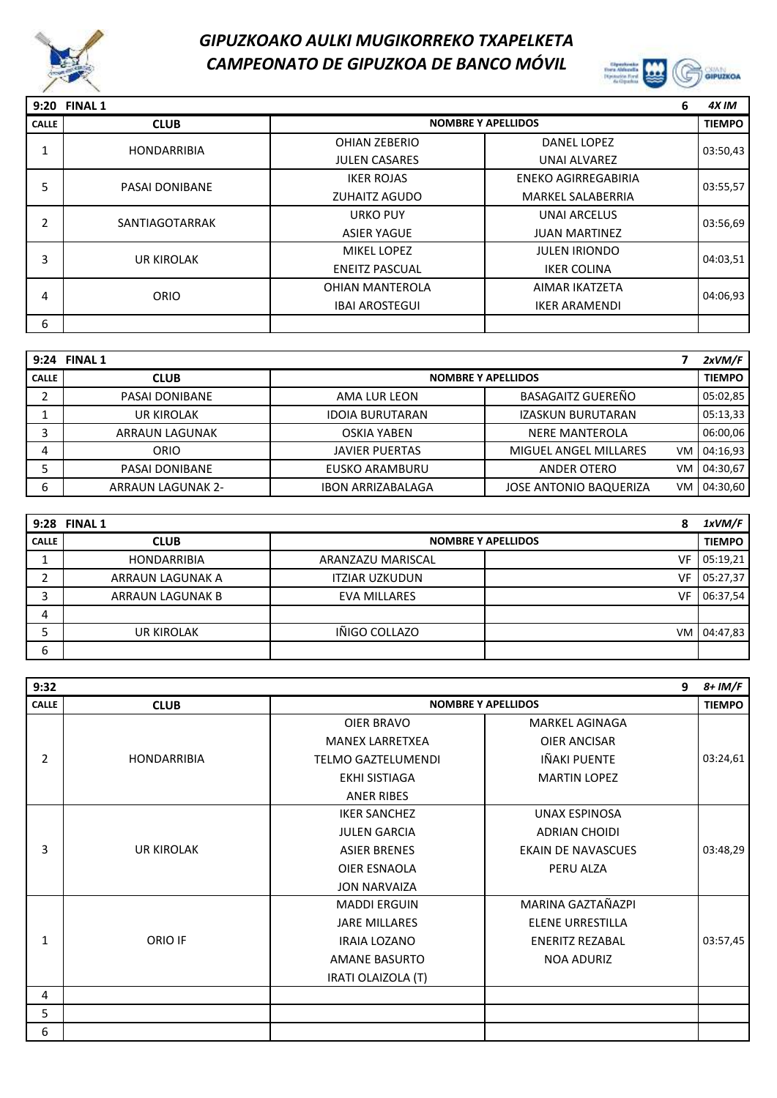



|              | 9:20 FINAL 1          |                        |                            | 6 | 4X IM         |
|--------------|-----------------------|------------------------|----------------------------|---|---------------|
| <b>CALLE</b> | <b>CLUB</b>           |                        | <b>NOMBRE Y APELLIDOS</b>  |   | <b>TIEMPO</b> |
|              | <b>HONDARRIBIA</b>    | <b>OHIAN ZEBERIO</b>   | <b>DANEL LOPEZ</b>         |   | 03:50,43      |
|              |                       | <b>JULEN CASARES</b>   | UNAI ALVAREZ               |   |               |
| 5            | <b>PASAI DONIBANE</b> | <b>IKER ROJAS</b>      | <b>ENEKO AGIRREGABIRIA</b> |   | 03:55,57      |
|              |                       | <b>ZUHAITZ AGUDO</b>   | <b>MARKEL SALABERRIA</b>   |   |               |
|              | SANTIAGOTARRAK        | <b>URKO PUY</b>        | <b>UNAI ARCELUS</b>        |   | 03:56,69      |
| 2            |                       | <b>ASIER YAGUE</b>     | <b>JUAN MARTINEZ</b>       |   |               |
| 3            | <b>UR KIROLAK</b>     | <b>MIKEL LOPEZ</b>     | <b>JULEN IRIONDO</b>       |   | 04:03,51      |
|              |                       | <b>ENEITZ PASCUAL</b>  | <b>IKER COLINA</b>         |   |               |
|              | <b>ORIO</b>           | <b>OHIAN MANTEROLA</b> | AIMAR IKATZETA             |   | 04:06,93      |
| 4            |                       | <b>IBAI AROSTEGUI</b>  | <b>IKER ARAMENDI</b>       |   |               |
| 6            |                       |                        |                            |   |               |

| 9:24         | <b>FINAL 1</b>           |                          |                               |    | 2xVM/F        |
|--------------|--------------------------|--------------------------|-------------------------------|----|---------------|
| <b>CALLE</b> | <b>CLUB</b>              |                          | <b>NOMBRE Y APELLIDOS</b>     |    | <b>TIEMPO</b> |
|              | PASAI DONIBANE           | AMA LUR LEON             | <b>BASAGAITZ GUEREÑO</b>      |    | 05:02,85      |
|              | <b>UR KIROLAK</b>        | <b>IDOIA BURUTARAN</b>   | <b>IZASKUN BURUTARAN</b>      |    | 05:13,33      |
|              | ARRAUN LAGUNAK           | OSKIA YABEN              | NERE MANTEROLA                |    | 06:00,06      |
| 4            | ORIO                     | <b>JAVIER PUERTAS</b>    | <b>MIGUEL ANGEL MILLARES</b>  | VM | 04:16.93      |
|              | PASAI DONIBANE           | EUSKO ARAMBURU           | ANDER OTERO                   | VM | 04:30,67      |
| 6            | <b>ARRAUN LAGUNAK 2-</b> | <b>IBON ARRIZABALAGA</b> | <b>JOSE ANTONIO BAQUERIZA</b> | VM | 04:30.60      |

|              | 9:28 FINAL 1       |                       | 8                         | 1xVM/F        |
|--------------|--------------------|-----------------------|---------------------------|---------------|
| <b>CALLE</b> | <b>CLUB</b>        |                       | <b>NOMBRE Y APELLIDOS</b> | <b>TIEMPO</b> |
|              | <b>HONDARRIBIA</b> | ARANZAZU MARISCAL     | VF                        | 05:19,21      |
|              | ARRAUN LAGUNAK A   | <b>ITZIAR UZKUDUN</b> | VF                        | 05:27,37      |
| っ            | ARRAUN LAGUNAK B   | <b>EVA MILLARES</b>   | VF                        | 06:37,54      |
| 4            |                    |                       |                           |               |
|              | <b>UR KIROLAK</b>  | IÑIGO COLLAZO         | VM.                       | 04:47,83      |
| 6            |                    |                       |                           |               |

| 9:32           |                    |                           |                           | 9 | 8+ IM/F       |
|----------------|--------------------|---------------------------|---------------------------|---|---------------|
| <b>CALLE</b>   | <b>CLUB</b>        | <b>NOMBRE Y APELLIDOS</b> |                           |   | <b>TIEMPO</b> |
|                |                    | OIER BRAVO                | MARKEL AGINAGA            |   |               |
|                |                    | <b>MANEX LARRETXEA</b>    | <b>OIER ANCISAR</b>       |   |               |
| $\overline{2}$ | <b>HONDARRIBIA</b> | <b>TELMO GAZTELUMENDI</b> | IÑAKI PUENTE              |   | 03:24,61      |
|                |                    | EKHI SISTIAGA             | <b>MARTIN LOPEZ</b>       |   |               |
|                |                    | <b>ANER RIBES</b>         |                           |   |               |
|                |                    | <b>IKER SANCHEZ</b>       | <b>UNAX ESPINOSA</b>      |   |               |
|                |                    | <b>JULEN GARCIA</b>       | <b>ADRIAN CHOIDI</b>      |   |               |
| 3              | UR KIROLAK         | <b>ASIER BRENES</b>       | <b>EKAIN DE NAVASCUES</b> |   | 03:48,29      |
|                |                    | OIER ESNAOLA              | PERU ALZA                 |   |               |
|                |                    | <b>JON NARVAIZA</b>       |                           |   |               |
|                |                    | <b>MADDI ERGUIN</b>       | MARINA GAZTAÑAZPI         |   |               |
|                |                    | <b>JARE MILLARES</b>      | <b>ELENE URRESTILLA</b>   |   |               |
| 1              | ORIO IF            | <b>IRAIA LOZANO</b>       | <b>ENERITZ REZABAL</b>    |   | 03:57,45      |
|                |                    | <b>AMANE BASURTO</b>      | <b>NOA ADURIZ</b>         |   |               |
|                |                    | IRATI OLAIZOLA (T)        |                           |   |               |
| 4              |                    |                           |                           |   |               |
| 5              |                    |                           |                           |   |               |
| 6              |                    |                           |                           |   |               |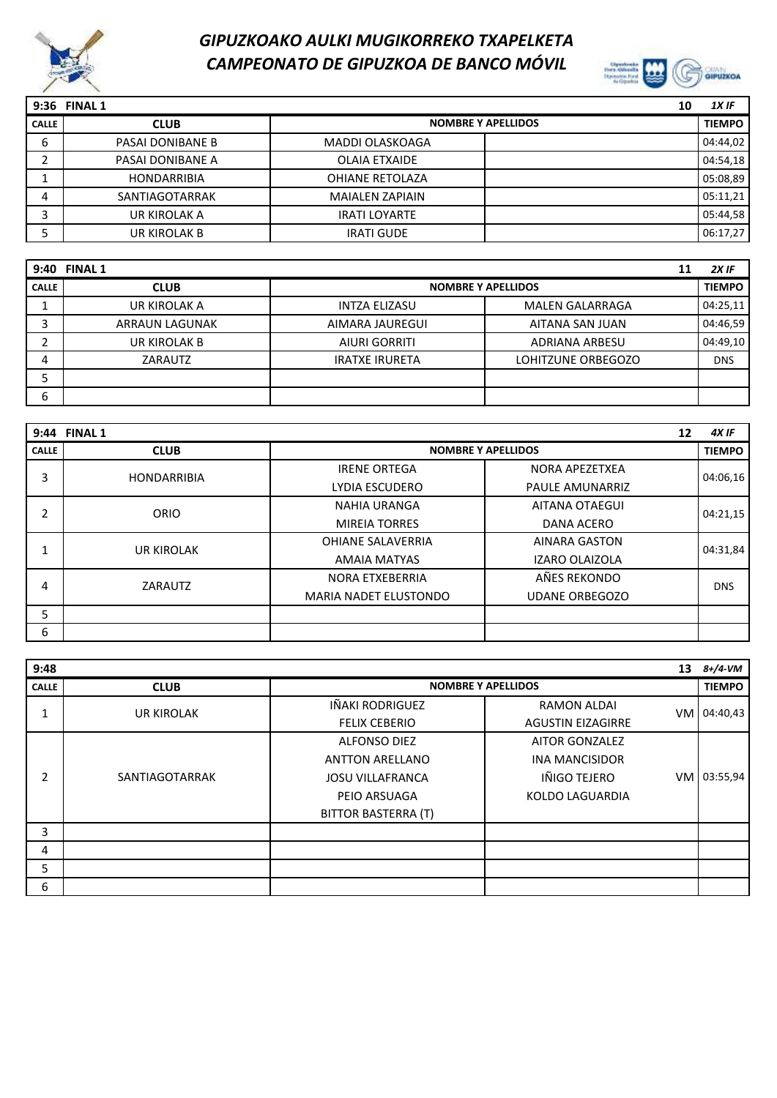



|              | 9:36 FINAL 1       |                           | 10 | $1X$ IF       |
|--------------|--------------------|---------------------------|----|---------------|
| <b>CALLE</b> | <b>CLUB</b>        | <b>NOMBRE Y APELLIDOS</b> |    | <b>TIEMPO</b> |
| ь            | PASAI DONIBANE B   | MADDI OLASKOAGA           |    | 04:44,02      |
|              | PASAI DONIBANE A   | OLAIA ETXAIDE             |    | 04:54,18      |
|              | <b>HONDARRIBIA</b> | OHIANE RETOLAZA           |    | 05:08,89      |
| 4            | SANTIAGOTARRAK     | <b>MAIALEN ZAPIAIN</b>    |    | 05:11,21      |
|              | UR KIROLAK A       | <b>IRATI LOYARTE</b>      |    | 05:44,58      |
|              | UR KIROLAK B       | <b>IRATI GUDE</b>         |    | 06:17,27      |

| 9:40         | <b>FINAL 1</b> |                       |                           | 11 | $2X$ IF       |
|--------------|----------------|-----------------------|---------------------------|----|---------------|
| <b>CALLE</b> | <b>CLUB</b>    |                       | <b>NOMBRE Y APELLIDOS</b> |    | <b>TIEMPO</b> |
|              | UR KIROLAK A   | <b>INTZA ELIZASU</b>  | <b>MALEN GALARRAGA</b>    |    | 04:25,11      |
|              | ARRAUN LAGUNAK | AIMARA JAUREGUI       | AITANA SAN JUAN           |    | 04:46,59      |
|              | UR KIROLAK B   | <b>AIURI GORRITI</b>  | ADRIANA ARBESU            |    | 04:49,10      |
| 4            | ZARAUTZ        | <b>IRATXE IRURETA</b> | LOHITZUNE ORBEGOZO        |    | <b>DNS</b>    |
|              |                |                       |                           |    |               |
| 6            |                |                       |                           |    |               |

| 9:44         | <b>FINAL 1</b>     |                              | 12                        | 4X IF         |
|--------------|--------------------|------------------------------|---------------------------|---------------|
| <b>CALLE</b> | <b>CLUB</b>        |                              | <b>NOMBRE Y APELLIDOS</b> | <b>TIEMPO</b> |
| 3            | <b>HONDARRIBIA</b> | <b>IRENE ORTEGA</b>          | NORA APEZETXEA            | 04:06,16      |
|              |                    | LYDIA ESCUDERO               | <b>PAULE AMUNARRIZ</b>    |               |
| 2            | ORIO               | <b>NAHIA URANGA</b>          | <b>AITANA OTAEGUI</b>     | 04:21,15      |
|              |                    | <b>MIREIA TORRES</b>         | <b>DANA ACERO</b>         |               |
|              | <b>UR KIROLAK</b>  | OHIANE SALAVERRIA            | <b>AINARA GASTON</b>      | 04:31,84      |
|              |                    | AMAIA MATYAS                 | <b>IZARO OLAIZOLA</b>     |               |
| 4            | ZARAUTZ            | NORA ETXEBERRIA              | AÑES REKONDO              | <b>DNS</b>    |
|              |                    | <b>MARIA NADET ELUSTONDO</b> | <b>UDANE ORBEGOZO</b>     |               |
| 5            |                    |                              |                           |               |
| 6            |                    |                              |                           |               |

| 9:48         |                   |                            |                           | 13   | 8+/4-VM       |
|--------------|-------------------|----------------------------|---------------------------|------|---------------|
| <b>CALLE</b> | <b>CLUB</b>       |                            | <b>NOMBRE Y APELLIDOS</b> |      | <b>TIEMPO</b> |
|              | <b>UR KIROLAK</b> | IÑAKI RODRIGUEZ            | <b>RAMON ALDAI</b>        | VM I | 04:40,43      |
|              |                   | <b>FELIX CEBERIO</b>       | <b>AGUSTIN EIZAGIRRE</b>  |      |               |
|              |                   | <b>ALFONSO DIEZ</b>        | <b>AITOR GONZALEZ</b>     |      |               |
|              |                   | <b>ANTTON ARELLANO</b>     | <b>INA MANCISIDOR</b>     |      |               |
| 2            | SANTIAGOTARRAK    | <b>JOSU VILLAFRANCA</b>    | IÑIGO TEJERO              | VM   | 03:55,94      |
|              |                   | PEIO ARSUAGA               | <b>KOLDO LAGUARDIA</b>    |      |               |
|              |                   | <b>BITTOR BASTERRA (T)</b> |                           |      |               |
| 3            |                   |                            |                           |      |               |
| 4            |                   |                            |                           |      |               |
| 5            |                   |                            |                           |      |               |
| 6            |                   |                            |                           |      |               |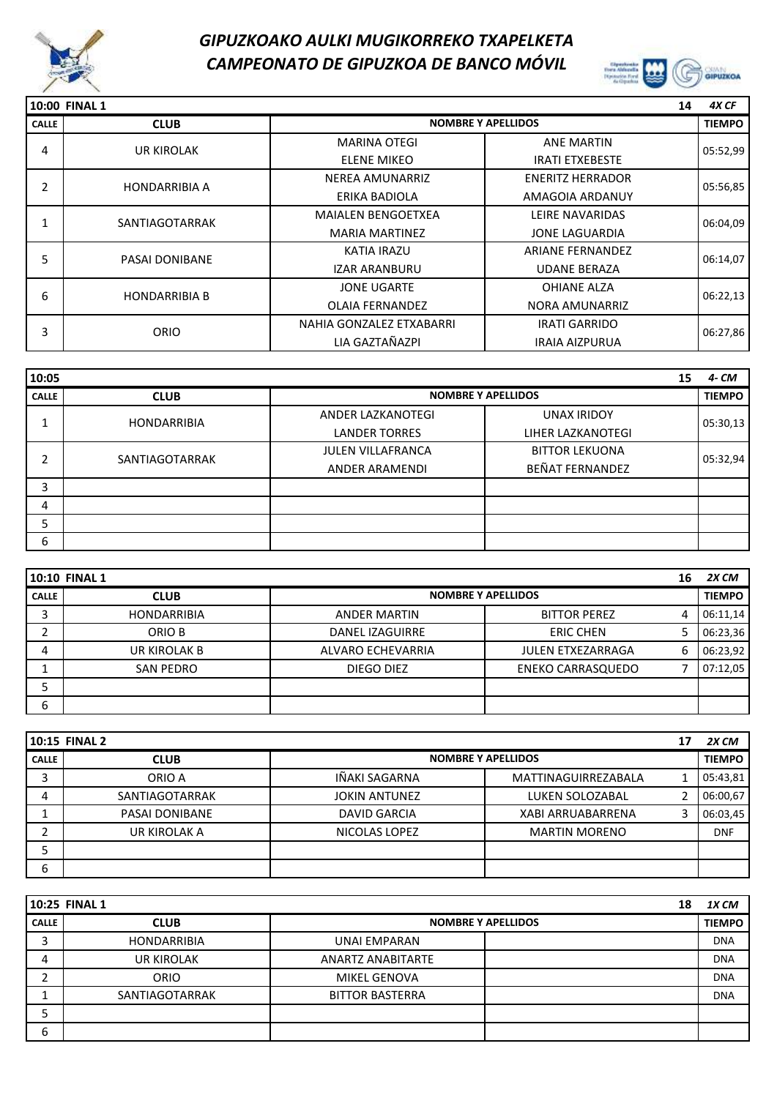



|              | 10:00 FINAL 1        |                           |                           | 14 | 4X CF         |
|--------------|----------------------|---------------------------|---------------------------|----|---------------|
| <b>CALLE</b> | <b>CLUB</b>          |                           | <b>NOMBRE Y APELLIDOS</b> |    | <b>TIEMPO</b> |
| 4            | <b>UR KIROLAK</b>    | <b>MARINA OTEGI</b>       | <b>ANE MARTIN</b>         |    | 05:52,99      |
|              |                      | <b>ELENE MIKEO</b>        | <b>IRATI ETXEBESTE</b>    |    |               |
| 2            | <b>HONDARRIBIA A</b> | <b>NEREA AMUNARRIZ</b>    | <b>ENERITZ HERRADOR</b>   |    | 05:56,85      |
|              |                      | ERIKA BADIOLA             | AMAGOIA ARDANUY           |    |               |
|              | SANTIAGOTARRAK       | <b>MAIALEN BENGOETXEA</b> | LEIRE NAVARIDAS           |    | 06:04,09      |
|              |                      | <b>MARIA MARTINEZ</b>     | <b>JONE LAGUARDIA</b>     |    |               |
| 5            | PASAI DONIBANE       | <b>KATIA IRAZU</b>        | <b>ARIANE FERNANDEZ</b>   |    | 06:14,07      |
|              |                      | <b>IZAR ARANBURU</b>      | <b>UDANE BERAZA</b>       |    |               |
| 6            | <b>HONDARRIBIA B</b> | <b>JONE UGARTE</b>        | <b>OHIANE ALZA</b>        |    | 06:22,13      |
|              |                      | <b>OLAIA FERNANDEZ</b>    | NORA AMUNARRIZ            |    |               |
| 3            | <b>ORIO</b>          | NAHIA GONZALEZ ETXABARRI  | <b>IRATI GARRIDO</b>      |    | 06:27,86      |
|              |                      | LIA GAZTAÑAZPI            | <b>IRAIA AIZPURUA</b>     |    |               |

| 10:05        |                    |                          |                           | 15 | 4- CM         |
|--------------|--------------------|--------------------------|---------------------------|----|---------------|
| <b>CALLE</b> | <b>CLUB</b>        |                          | <b>NOMBRE Y APELLIDOS</b> |    | <b>TIEMPO</b> |
|              | <b>HONDARRIBIA</b> | ANDER LAZKANOTEGI        | <b>UNAX IRIDOY</b>        |    | 05:30,13      |
|              |                    | <b>LANDER TORRES</b>     | LIHER LAZKANOTEGI         |    |               |
| ำ            | SANTIAGOTARRAK     | <b>JULEN VILLAFRANCA</b> | <b>BITTOR LEKUONA</b>     |    | 05:32,94      |
|              |                    | <b>ANDER ARAMENDI</b>    | BEÑAT FERNANDEZ           |    |               |
| 3            |                    |                          |                           |    |               |
| 4            |                    |                          |                           |    |               |
|              |                    |                          |                           |    |               |
| 6            |                    |                          |                           |    |               |

|              | 10:10 FINAL 1                            |                        |                          | 16            | 2X CM    |
|--------------|------------------------------------------|------------------------|--------------------------|---------------|----------|
| <b>CALLE</b> | <b>NOMBRE Y APELLIDOS</b><br><b>CLUB</b> |                        |                          | <b>TIEMPO</b> |          |
|              | <b>HONDARRIBIA</b>                       | ANDER MARTIN           | <b>BITTOR PEREZ</b>      | 4             | 06:11.14 |
|              | ORIO B                                   | <b>DANEL IZAGUIRRE</b> | <b>ERIC CHEN</b>         |               | 06:23,36 |
| 4            | UR KIROLAK B                             | ALVARO ECHEVARRIA      | <b>JULEN ETXEZARRAGA</b> | 6             | 06:23,92 |
|              | <b>SAN PEDRO</b>                         | DIEGO DIEZ             | <b>ENEKO CARRASQUEDO</b> |               | 07:12,05 |
|              |                                          |                        |                          |               |          |
| 6            |                                          |                        |                          |               |          |

| 10:15 FINAL 2 |                |                      |                           |   | 2X CM         |
|---------------|----------------|----------------------|---------------------------|---|---------------|
| <b>CALLE</b>  | <b>CLUB</b>    |                      | <b>NOMBRE Y APELLIDOS</b> |   | <b>TIEMPO</b> |
| J             | ORIO A         | IÑAKI SAGARNA        | MATTINAGUIRREZABALA       |   | 05:43,81      |
| 4             | SANTIAGOTARRAK | <b>JOKIN ANTUNEZ</b> | LUKEN SOLOZABAL           |   | 06:00,67      |
|               | PASAI DONIBANE | <b>DAVID GARCIA</b>  | <b>XABI ARRUABARRENA</b>  | 3 | 06:03,45      |
|               | UR KIROLAK A   | NICOLAS LOPEZ        | <b>MARTIN MORENO</b>      |   | <b>DNF</b>    |
|               |                |                      |                           |   |               |
| 6             |                |                      |                           |   |               |

|              | 10:25 FINAL 1      |                          | 18                        | 1X CM      |
|--------------|--------------------|--------------------------|---------------------------|------------|
| <b>CALLE</b> | <b>CLUB</b>        |                          | <b>NOMBRE Y APELLIDOS</b> |            |
| ∽            | <b>HONDARRIBIA</b> | UNAI EMPARAN             |                           | <b>DNA</b> |
| 4            | <b>UR KIROLAK</b>  | <b>ANARTZ ANABITARTE</b> |                           | <b>DNA</b> |
|              | <b>ORIO</b>        | <b>MIKEL GENOVA</b>      |                           | <b>DNA</b> |
|              | SANTIAGOTARRAK     | <b>BITTOR BASTERRA</b>   |                           | <b>DNA</b> |
|              |                    |                          |                           |            |
| 6            |                    |                          |                           |            |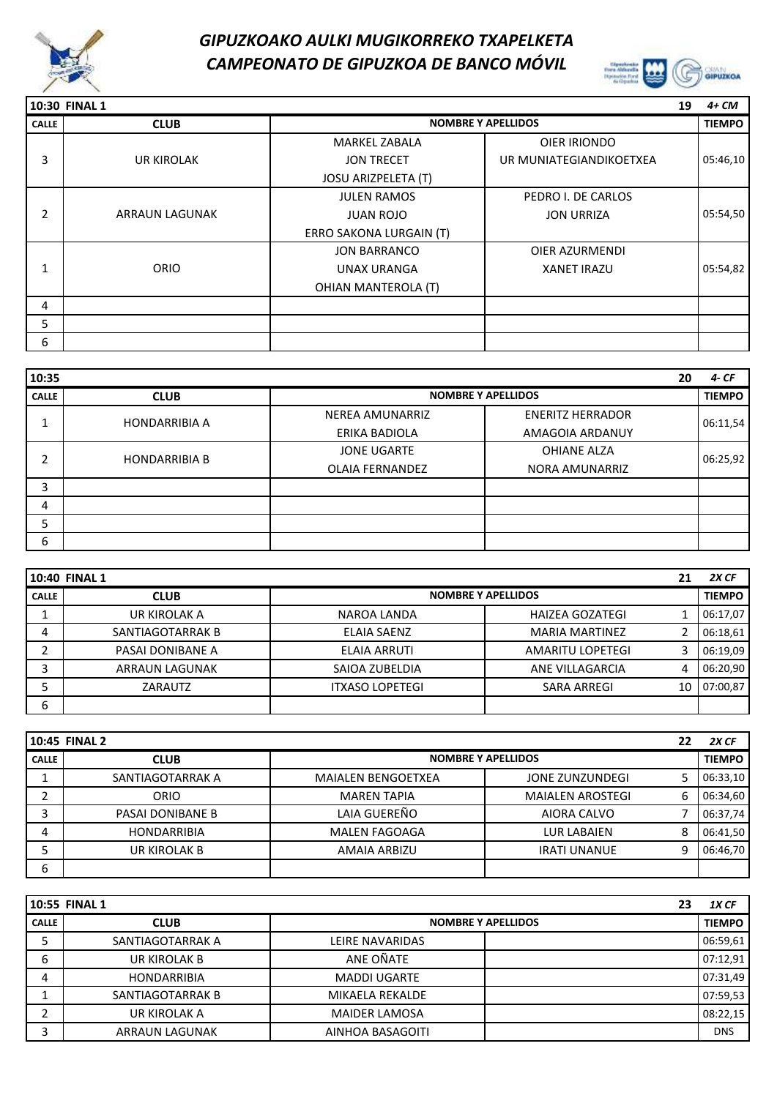



**10:30 FINAL 1 19** *4+ CM* **CALLE CLUB TIEMPO NOMBRE Y APELLIDOS** MARKEL ZABALA OIER IRIONDO JON TRECET **UR MUNIATEGIANDIKOETXEA** JOSU ARIZPELETA (T) JULEN RAMOS PEDRO I. DE CARLOS JUAN ROJO **JON URRIZA** ERRO SAKONA LURGAIN (T) JON BARRANCO **OIER AZURMENDI** UNAX URANGA VANET IRAZU OHIAN MANTEROLA (T) 4 5 6 UR KIROLAK ARRAUN LAGUNAK ORIO 3 2 1 05:46,10 05:54,50 05:54,82

| 10:35        |                      |                           |                         | 20 | $4-CF$        |
|--------------|----------------------|---------------------------|-------------------------|----|---------------|
| <b>CALLE</b> | <b>CLUB</b>          | <b>NOMBRE Y APELLIDOS</b> |                         |    | <b>TIEMPO</b> |
|              | <b>HONDARRIBIA A</b> | NEREA AMUNARRIZ           | <b>ENERITZ HERRADOR</b> |    | 06:11,54      |
|              |                      | ERIKA BADIOLA             | AMAGOIA ARDANUY         |    |               |
| ำ            |                      | <b>JONE UGARTE</b>        | OHIANE ALZA             |    | 06:25,92      |
|              | <b>HONDARRIBIA B</b> | <b>OLAIA FERNANDEZ</b>    | <b>NORA AMUNARRIZ</b>   |    |               |
| 3            |                      |                           |                         |    |               |
| 4            |                      |                           |                         |    |               |
| 5            |                      |                           |                         |    |               |
| 6            |                      |                           |                         |    |               |

|              | 10:40 FINAL 1    |                        |                           | 21 | 2X CF         |
|--------------|------------------|------------------------|---------------------------|----|---------------|
| <b>CALLE</b> | <b>CLUB</b>      |                        | <b>NOMBRE Y APELLIDOS</b> |    | <b>TIEMPO</b> |
|              | UR KIROLAK A     | NAROA LANDA            | HAIZEA GOZATEGI           |    | 06:17,07      |
| 4            | SANTIAGOTARRAK B | <b>ELAIA SAENZ</b>     | <b>MARIA MARTINEZ</b>     |    | 06:18,61      |
|              | PASAI DONIBANE A | ELAIA ARRUTI           | AMARITU LOPETEGI          |    | 06:19.09      |
|              | ARRAUN LAGUNAK   | SAIOA ZUBELDIA         | ANE VILLAGARCIA           | 4  | 06:20,90      |
|              | ZARAUTZ          | <b>ITXASO LOPETEGI</b> | <b>SARA ARREGI</b>        | 10 | 07:00.87      |
| ь            |                  |                        |                           |    |               |

|              | 10:45 FINAL 2<br>22 |                           |                           |   |               |
|--------------|---------------------|---------------------------|---------------------------|---|---------------|
| <b>CALLE</b> | <b>CLUB</b>         |                           | <b>NOMBRE Y APELLIDOS</b> |   | <b>TIEMPO</b> |
|              | SANTIAGOTARRAK A    | <b>MAIALEN BENGOETXEA</b> | JONE ZUNZUNDEGI           |   | 06:33,10      |
|              | <b>ORIO</b>         | <b>MAREN TAPIA</b>        | <b>MAIALEN AROSTEGI</b>   | 6 | 06:34,60      |
|              | PASAI DONIBANE B    | LAIA GUEREÑO              | AIORA CALVO               |   | 06:37.74      |
| 4            | <b>HONDARRIBIA</b>  | MALEN FAGOAGA             | LUR LABAIEN               | 8 | 06:41,50      |
|              | UR KIROLAK B        | AMAIA ARBIZU              | <b>IRATI UNANUE</b>       | 9 | 06:46.70      |
| 6            |                     |                           |                           |   |               |

|              | 10:55 FINAL 1      |                           | 23 | 1X CF         |
|--------------|--------------------|---------------------------|----|---------------|
| <b>CALLE</b> | <b>CLUB</b>        | <b>NOMBRE Y APELLIDOS</b> |    | <b>TIEMPO</b> |
| э            | SANTIAGOTARRAK A   | LEIRE NAVARIDAS           |    | 06:59,61      |
| 6            | UR KIROLAK B       | ANE OÑATE                 |    | 07:12,91      |
| 4            | <b>HONDARRIBIA</b> | <b>MADDI UGARTE</b>       |    | 07:31,49      |
|              | SANTIAGOTARRAK B   | MIKAELA REKALDE           |    | 07:59,53      |
| ┑            | UR KIROLAK A       | <b>MAIDER LAMOSA</b>      |    | 08:22,15      |
| 3            | ARRAUN LAGUNAK     | AINHOA BASAGOITI          |    | <b>DNS</b>    |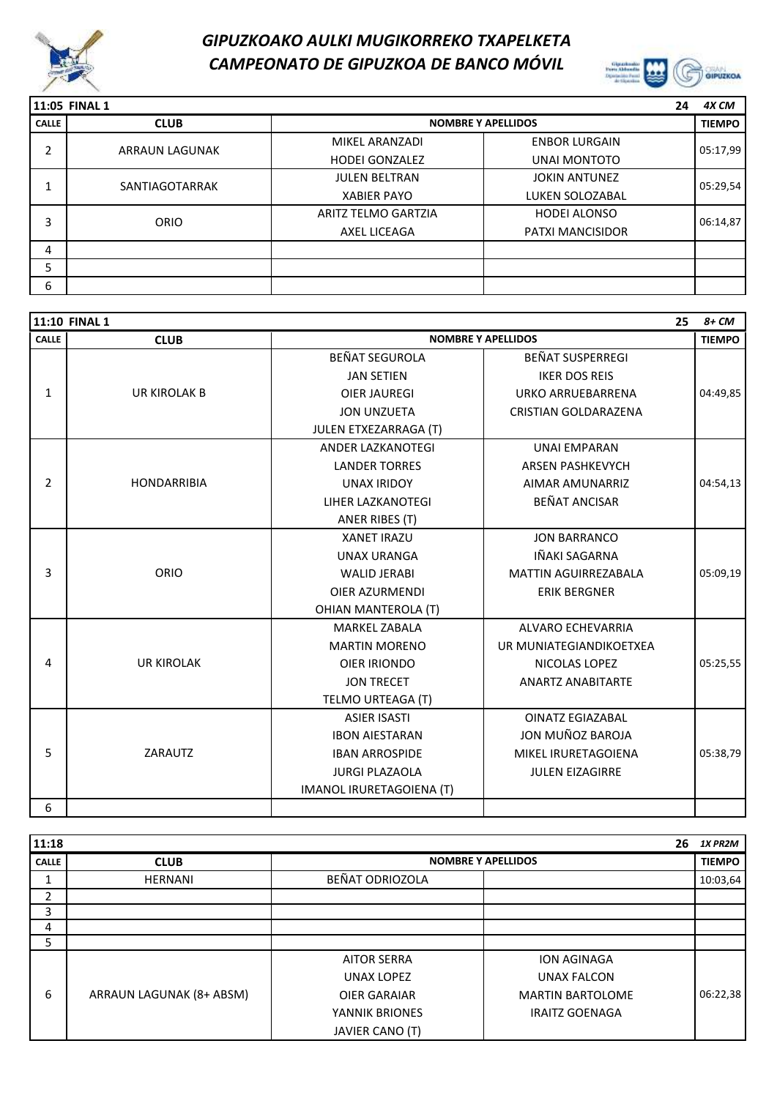



|              | 11:05 FINAL 1         |                       | 24                        | 4X CM         |
|--------------|-----------------------|-----------------------|---------------------------|---------------|
| <b>CALLE</b> | <b>CLUB</b>           |                       | <b>NOMBRE Y APELLIDOS</b> | <b>TIEMPO</b> |
| ำ            | <b>ARRAUN LAGUNAK</b> | MIKEL ARANZADI        | <b>ENBOR LURGAIN</b>      | 05:17,99      |
| ∠            |                       | <b>HODEI GONZALEZ</b> | <b>UNAI MONTOTO</b>       |               |
|              | SANTIAGOTARRAK        | <b>JULEN BELTRAN</b>  | <b>JOKIN ANTUNEZ</b>      | 05:29,54      |
|              |                       | <b>XABIER PAYO</b>    | LUKEN SOLOZABAL           |               |
| 3            | ORIO                  | ARITZ TELMO GARTZIA   | <b>HODEI ALONSO</b>       | 06:14,87      |
|              |                       | AXEL LICEAGA          | <b>PATXI MANCISIDOR</b>   |               |
| 4            |                       |                       |                           |               |
| 5            |                       |                       |                           |               |
| 6            |                       |                       |                           |               |

|              | 11:10 FINAL 1       |                            |                             | 25<br>$8+CM$  |
|--------------|---------------------|----------------------------|-----------------------------|---------------|
| <b>CALLE</b> | <b>CLUB</b>         |                            | <b>NOMBRE Y APELLIDOS</b>   | <b>TIEMPO</b> |
|              |                     | <b>BEÑAT SEGUROLA</b>      | <b>BEÑAT SUSPERREGI</b>     |               |
|              |                     | <b>JAN SETIEN</b>          | <b>IKER DOS REIS</b>        |               |
| $\mathbf{1}$ | <b>UR KIROLAK B</b> | <b>OIER JAUREGI</b>        | <b>URKO ARRUEBARRENA</b>    | 04:49,85      |
|              |                     | <b>JON UNZUETA</b>         | CRISTIAN GOLDARAZENA        |               |
|              |                     | JULEN ETXEZARRAGA (T)      |                             |               |
|              |                     | <b>ANDER LAZKANOTEGI</b>   | <b>UNAI EMPARAN</b>         |               |
|              |                     | <b>LANDER TORRES</b>       | <b>ARSEN PASHKEVYCH</b>     |               |
| 2            | <b>HONDARRIBIA</b>  | <b>UNAX IRIDOY</b>         | AIMAR AMUNARRIZ             | 04:54,13      |
|              |                     | LIHER LAZKANOTEGI          | <b>BEÑAT ANCISAR</b>        |               |
|              |                     | ANER RIBES (T)             |                             |               |
|              |                     | <b>XANET IRAZU</b>         | <b>JON BARRANCO</b>         |               |
|              |                     | <b>UNAX URANGA</b>         | IÑAKI SAGARNA               |               |
| 3            | ORIO                | <b>WALID JERABI</b>        | <b>MATTIN AGUIRREZABALA</b> | 05:09,19      |
|              |                     | <b>OIER AZURMENDI</b>      | <b>ERIK BERGNER</b>         |               |
|              |                     | <b>OHIAN MANTEROLA (T)</b> |                             |               |
|              |                     | <b>MARKEL ZABALA</b>       | ALVARO ECHEVARRIA           |               |
|              |                     | <b>MARTIN MORENO</b>       | UR MUNIATEGIANDIKOETXEA     |               |
| 4            | <b>UR KIROLAK</b>   | OIER IRIONDO               | NICOLAS LOPEZ               | 05:25,55      |
|              |                     | <b>JON TRECET</b>          | <b>ANARTZ ANABITARTE</b>    |               |
|              |                     | TELMO URTEAGA (T)          |                             |               |
|              |                     | <b>ASIER ISASTI</b>        | <b>OINATZ EGIAZABAL</b>     |               |
|              |                     | <b>IBON AIESTARAN</b>      | JON MUÑOZ BAROJA            |               |
| 5            | ZARAUTZ             | <b>IBAN ARROSPIDE</b>      | MIKEL IRURETAGOIENA         | 05:38,79      |
|              |                     | <b>JURGI PLAZAOLA</b>      | <b>JULEN EIZAGIRRE</b>      |               |
|              |                     | IMANOL IRURETAGOIENA (T)   |                             |               |
| 6            |                     |                            |                             |               |

| 11:18        |                          |                     | 26                        | 1X PR2M       |
|--------------|--------------------------|---------------------|---------------------------|---------------|
| <b>CALLE</b> | <b>CLUB</b>              |                     | <b>NOMBRE Y APELLIDOS</b> | <b>TIEMPO</b> |
|              | <b>HERNANI</b>           | BEÑAT ODRIOZOLA     |                           | 10:03,64      |
| 2            |                          |                     |                           |               |
| 3            |                          |                     |                           |               |
| 4            |                          |                     |                           |               |
| 5            |                          |                     |                           |               |
|              |                          | <b>AITOR SERRA</b>  | <b>ION AGINAGA</b>        |               |
|              |                          | <b>UNAX LOPEZ</b>   | <b>UNAX FALCON</b>        |               |
| 6            | ARRAUN LAGUNAK (8+ ABSM) | <b>OIER GARAIAR</b> | <b>MARTIN BARTOLOME</b>   | 06:22,38      |
|              |                          | YANNIK BRIONES      | <b>IRAITZ GOENAGA</b>     |               |
|              |                          | JAVIER CANO (T)     |                           |               |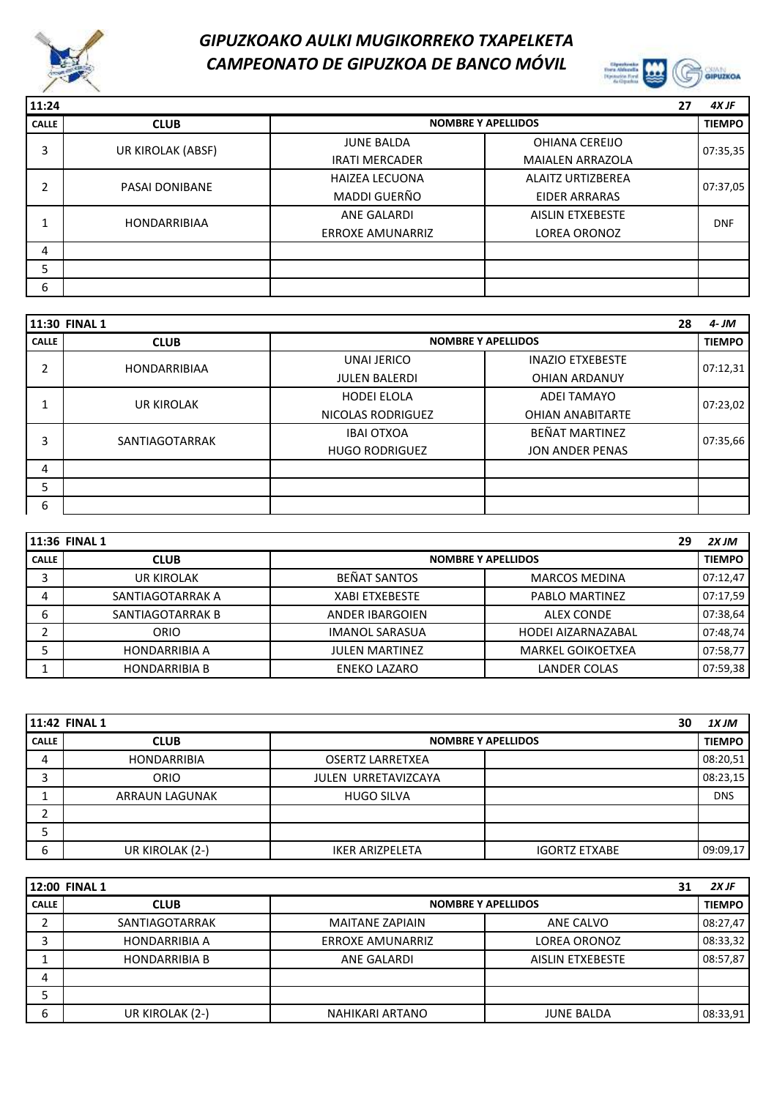



| 11:24 |                     |                         |                           | 27 | 4X JF         |
|-------|---------------------|-------------------------|---------------------------|----|---------------|
| CALLE | <b>CLUB</b>         |                         | <b>NOMBRE Y APELLIDOS</b> |    | <b>TIEMPO</b> |
| 3     | UR KIROLAK (ABSF)   | <b>JUNE BALDA</b>       | OHIANA CEREIJO            |    | 07:35,35      |
|       |                     | <b>IRATI MERCADER</b>   | <b>MAIALEN ARRAZOLA</b>   |    |               |
| ኀ     | PASAI DONIBANE      | <b>HAIZEA LECUONA</b>   | <b>ALAITZ URTIZBEREA</b>  |    | 07:37,05      |
|       |                     | MADDI GUERÑO            | <b>EIDER ARRARAS</b>      |    |               |
|       | <b>HONDARRIBIAA</b> | <b>ANE GALARDI</b>      | <b>AISLIN ETXEBESTE</b>   |    | <b>DNF</b>    |
|       |                     | <b>ERROXE AMUNARRIZ</b> | <b>LOREA ORONOZ</b>       |    |               |
| 4     |                     |                         |                           |    |               |
| 5     |                     |                         |                           |    |               |
| 6     |                     |                         |                           |    |               |

|              | <b>11:30 FINAL 1</b> |                           |                         | 28 | 4- JM         |
|--------------|----------------------|---------------------------|-------------------------|----|---------------|
| <b>CALLE</b> | <b>CLUB</b>          | <b>NOMBRE Y APELLIDOS</b> |                         |    | <b>TIEMPO</b> |
| ኀ            | <b>HONDARRIBIAA</b>  | UNAI JERICO               | <b>INAZIO ETXEBESTE</b> |    | 07:12,31      |
|              |                      | <b>JULEN BALERDI</b>      | <b>OHIAN ARDANUY</b>    |    |               |
|              | <b>UR KIROLAK</b>    | <b>HODEI ELOLA</b>        | <b>ADEI TAMAYO</b>      |    | 07:23,02      |
|              |                      | NICOLAS RODRIGUEZ         | <b>OHIAN ANABITARTE</b> |    |               |
| 3            | SANTIAGOTARRAK       | <b>IBAI OTXOA</b>         | <b>BEÑAT MARTINEZ</b>   |    | 07:35,66      |
|              |                      | <b>HUGO RODRIGUEZ</b>     | <b>JON ANDER PENAS</b>  |    |               |
| 4            |                      |                           |                         |    |               |
| 5            |                      |                           |                         |    |               |
| 6            |                      |                           |                         |    |               |

|              | 11:36 FINAL 1        |                           | 29                       | 2X JM         |
|--------------|----------------------|---------------------------|--------------------------|---------------|
| <b>CALLE</b> | <b>CLUB</b>          | <b>NOMBRE Y APELLIDOS</b> |                          | <b>TIEMPO</b> |
|              | UR KIROLAK           | <b>BEÑAT SANTOS</b>       | <b>MARCOS MEDINA</b>     | 07:12,47      |
| 4            | SANTIAGOTARRAK A     | <b>XABI ETXEBESTE</b>     | PABLO MARTINEZ           | 07:17.59      |
| ь            | SANTIAGOTARRAK B     | <b>ANDER IBARGOIEN</b>    | <b>ALEX CONDE</b>        | 07:38,64      |
|              | ORIO                 | <b>IMANOL SARASUA</b>     | HODEI AIZARNAZABAL       | 07:48,74      |
|              | <b>HONDARRIBIA A</b> | <b>JULEN MARTINEZ</b>     | <b>MARKEL GOIKOETXEA</b> | 07:58,77      |
|              | <b>HONDARRIBIA B</b> | ENEKO LAZARO              | <b>LANDER COLAS</b>      | 07:59,38      |

|              | <b>11:42 FINAL 1</b>  |                         | 30                        | 1X JM         |
|--------------|-----------------------|-------------------------|---------------------------|---------------|
| <b>CALLE</b> | <b>CLUB</b>           |                         | <b>NOMBRE Y APELLIDOS</b> | <b>TIEMPO</b> |
| 4            | <b>HONDARRIBIA</b>    | <b>OSERTZ LARRETXEA</b> |                           | 08:20,51      |
|              | <b>ORIO</b>           | JULEN URRETAVIZCAYA     |                           | 08:23,15      |
|              | <b>ARRAUN LAGUNAK</b> | <b>HUGO SILVA</b>       |                           | <b>DNS</b>    |
|              |                       |                         |                           |               |
|              |                       |                         |                           |               |
| 6            | UR KIROLAK (2-)       | <b>IKER ARIZPELETA</b>  | <b>IGORTZ ETXABE</b>      | 09:09.17      |

|              | 12:00 FINAL 1        |                         | 31                        | 2X JF    |
|--------------|----------------------|-------------------------|---------------------------|----------|
| <b>CALLE</b> | <b>CLUB</b>          |                         | <b>NOMBRE Y APELLIDOS</b> |          |
|              | SANTIAGOTARRAK       | <b>MAITANE ZAPIAIN</b>  | ANE CALVO                 | 08:27,47 |
|              | <b>HONDARRIBIA A</b> | <b>ERROXE AMUNARRIZ</b> | <b>LOREA ORONOZ</b>       | 08:33,32 |
|              | <b>HONDARRIBIA B</b> | ANE GALARDI             | AISLIN ETXEBESTE          | 08:57,87 |
| 4            |                      |                         |                           |          |
|              |                      |                         |                           |          |
| 6            | UR KIROLAK (2-)      | NAHIKARI ARTANO         | <b>JUNE BALDA</b>         | 08:33,91 |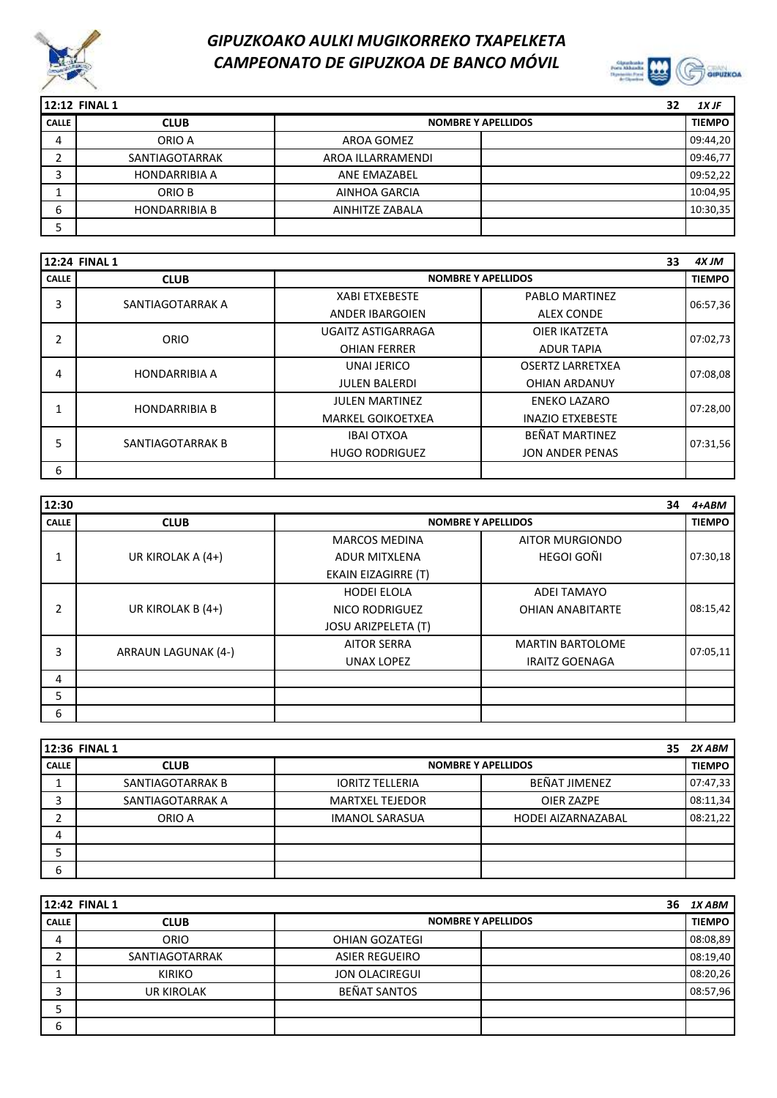



|              | 12:12 FINAL 1        |                           | 32 | 1X JF         |
|--------------|----------------------|---------------------------|----|---------------|
| <b>CALLE</b> | <b>CLUB</b>          | <b>NOMBRE Y APELLIDOS</b> |    | <b>TIEMPO</b> |
| 4            | ORIO A               | AROA GOMEZ                |    | 09:44,20      |
|              | SANTIAGOTARRAK       | AROA ILLARRAMENDI         |    | 09:46,77      |
|              | <b>HONDARRIBIA A</b> | ANE EMAZABEL              |    | 09:52.22      |
|              | ORIO B               | AINHOA GARCIA             |    | 10:04,95      |
| ь            | <b>HONDARRIBIA B</b> | AINHITZE ZABALA           |    | 10:30,35      |
|              |                      |                           |    |               |

|              | 12:24 FINAL 1        |                          | 33                        | 4X JM         |
|--------------|----------------------|--------------------------|---------------------------|---------------|
| <b>CALLE</b> | <b>CLUB</b>          |                          | <b>NOMBRE Y APELLIDOS</b> | <b>TIEMPO</b> |
| 3            | SANTIAGOTARRAK A     | <b>XABI ETXEBESTE</b>    | <b>PABLO MARTINEZ</b>     | 06:57,36      |
|              |                      | <b>ANDER IBARGOIEN</b>   | <b>ALEX CONDE</b>         |               |
| 2            | ORIO                 | UGAITZ ASTIGARRAGA       | OIER IKATZETA             | 07:02,73      |
|              |                      | <b>OHIAN FERRER</b>      | <b>ADUR TAPIA</b>         |               |
| 4            | <b>HONDARRIBIA A</b> | UNAI JERICO              | <b>OSERTZ LARRETXEA</b>   | 07:08,08      |
|              |                      | <b>JULEN BALERDI</b>     | <b>OHIAN ARDANUY</b>      |               |
|              | <b>HONDARRIBIA B</b> | <b>JULEN MARTINEZ</b>    | <b>ENEKO LAZARO</b>       | 07:28,00      |
|              |                      | <b>MARKEL GOIKOETXEA</b> | <b>INAZIO ETXEBESTE</b>   |               |
| 5            | SANTIAGOTARRAK B     | <b>IBAI OTXOA</b>        | <b>BEÑAT MARTINEZ</b>     | 07:31,56      |
|              |                      | <b>HUGO RODRIGUEZ</b>    | <b>JON ANDER PENAS</b>    |               |
| 6            |                      |                          |                           |               |

| 12:30        |                            |                            |                           | 34 | $4+ABM$       |
|--------------|----------------------------|----------------------------|---------------------------|----|---------------|
| <b>CALLE</b> | <b>CLUB</b>                |                            | <b>NOMBRE Y APELLIDOS</b> |    | <b>TIEMPO</b> |
|              |                            | <b>MARCOS MEDINA</b>       | AITOR MURGIONDO           |    |               |
|              | UR KIROLAK A (4+)          | <b>ADUR MITXLENA</b>       | HEGOI GOÑI                |    | 07:30,18      |
|              |                            | <b>EKAIN EIZAGIRRE (T)</b> |                           |    |               |
|              |                            | <b>HODEI ELOLA</b>         | <b>ADEI TAMAYO</b>        |    |               |
| 2            | UR KIROLAK B (4+)          | NICO RODRIGUEZ             | <b>OHIAN ANABITARTE</b>   |    | 08:15,42      |
|              |                            | <b>JOSU ARIZPELETA (T)</b> |                           |    |               |
| 3            | <b>ARRAUN LAGUNAK (4-)</b> | <b>AITOR SERRA</b>         | <b>MARTIN BARTOLOME</b>   |    | 07:05,11      |
|              |                            | <b>UNAX LOPEZ</b>          | <b>IRAITZ GOENAGA</b>     |    |               |
| 4            |                            |                            |                           |    |               |
| 5            |                            |                            |                           |    |               |
| 6            |                            |                            |                           |    |               |

|              | 12:36 FINAL 1    |                           |                    | 35 | 2X ABM        |
|--------------|------------------|---------------------------|--------------------|----|---------------|
| <b>CALLE</b> | <b>CLUB</b>      | <b>NOMBRE Y APELLIDOS</b> |                    |    | <b>TIEMPO</b> |
|              | SANTIAGOTARRAK B | <b>IORITZ TELLERIA</b>    | BEÑAT JIMENEZ      |    | 07:47,33      |
| 3            | SANTIAGOTARRAK A | <b>MARTXEL TEJEDOR</b>    | OIER ZAZPE         |    | 08:11,34      |
|              | ORIO A           | <b>IMANOL SARASUA</b>     | HODEI AIZARNAZABAL |    | 08:21,22      |
| 4            |                  |                           |                    |    |               |
|              |                  |                           |                    |    |               |
| 6            |                  |                           |                    |    |               |

|              | 12:42 FINAL 1     |                           | 36 | 1X ABM        |
|--------------|-------------------|---------------------------|----|---------------|
| <b>CALLE</b> | <b>CLUB</b>       | <b>NOMBRE Y APELLIDOS</b> |    | <b>TIEMPO</b> |
| 4            | <b>ORIO</b>       | OHIAN GOZATEGI            |    | 08:08,89      |
|              | SANTIAGOTARRAK    | <b>ASIER REGUEIRO</b>     |    | 08:19,40      |
|              | <b>KIRIKO</b>     | <b>JON OLACIREGUI</b>     |    | 08:20,26      |
|              | <b>UR KIROLAK</b> | BEÑAT SANTOS              |    | 08:57,96      |
|              |                   |                           |    |               |
| 6            |                   |                           |    |               |